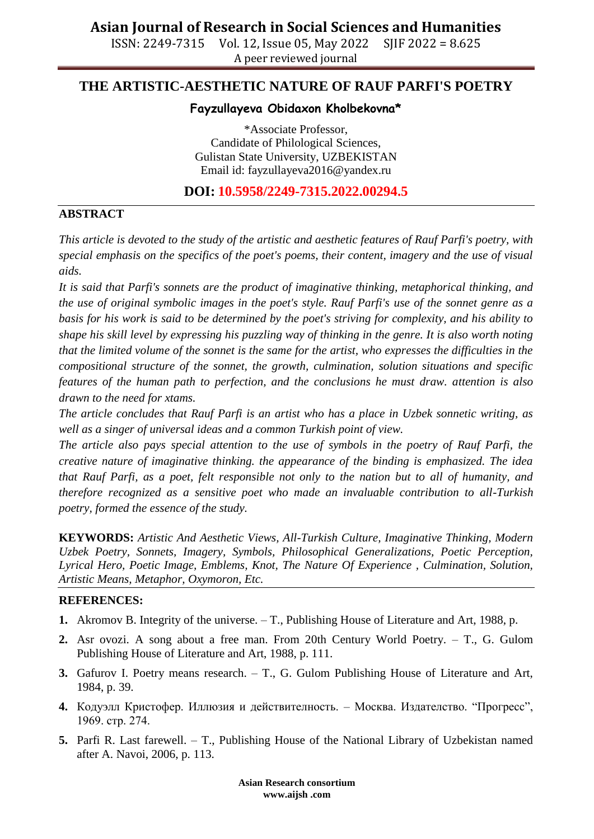ISSN: 2249-7315 Vol. 12, Issue 05, May 2022 SJIF 2022 = 8.625 A peer reviewed journal

# **THE ARTISTIC-AESTHETIC NATURE OF RAUF PARFI'S POETRY**

### **Fayzullayeva Obidaxon Kholbekovna\***

\*Associate Professor, Candidate of Philological Sciences, Gulistan State University, UZBEKISTAN Email id: [fayzullayeva2016@yandex.ru](mailto:fayzullayeva2016@yandex.ru)

**DOI: 10.5958/2249-7315.2022.00294.5**

## **ABSTRACT**

*This article is devoted to the study of the artistic and aesthetic features of Rauf Parfi's poetry, with special emphasis on the specifics of the poet's poems, their content, imagery and the use of visual aids.*

*It is said that Parfi's sonnets are the product of imaginative thinking, metaphorical thinking, and the use of original symbolic images in the poet's style. Rauf Parfi's use of the sonnet genre as a basis for his work is said to be determined by the poet's striving for complexity, and his ability to shape his skill level by expressing his puzzling way of thinking in the genre. It is also worth noting that the limited volume of the sonnet is the same for the artist, who expresses the difficulties in the compositional structure of the sonnet, the growth, culmination, solution situations and specific features of the human path to perfection, and the conclusions he must draw. attention is also drawn to the need for xtams.*

*The article concludes that Rauf Parfi is an artist who has a place in Uzbek sonnetic writing, as well as a singer of universal ideas and a common Turkish point of view.*

*The article also pays special attention to the use of symbols in the poetry of Rauf Parfi, the creative nature of imaginative thinking. the appearance of the binding is emphasized. The idea that Rauf Parfi, as a poet, felt responsible not only to the nation but to all of humanity, and therefore recognized as a sensitive poet who made an invaluable contribution to all-Turkish poetry, formed the essence of the study.*

**KEYWORDS:** *Artistic And Aesthetic Views, All-Turkish Culture, Imaginative Thinking, Modern Uzbek Poetry, Sonnets, Imagery, Symbols, Philosophical Generalizations, Poetic Perception, Lyrical Hero, Poetic Image, Emblems, Knot, The Nature Of Experience , Culmination, Solution, Artistic Means, Metaphor, Oxymoron, Etc.*

#### **REFERENCES:**

- **1.** Akromov B. Integrity of the universe. T., Publishing House of Literature and Art, 1988, p.
- **2.** Asr ovozi. A song about a free man. From 20th Century World Poetry. T., G. Gulom Publishing House of Literature and Art, 1988, p. 111.
- **3.** Gafurov I. Poetry means research. T., G. Gulom Publishing House of Literature and Art, 1984, p. 39.
- **4.** Кодуэлл Кристофер. Иллюзия и действителность. Москва. Издателство. "Прогресс", 1969. стр. 274.
- **5.** Parfi R. Last farewell. T., Publishing House of the National Library of Uzbekistan named after A. Navoi, 2006, p. 113.